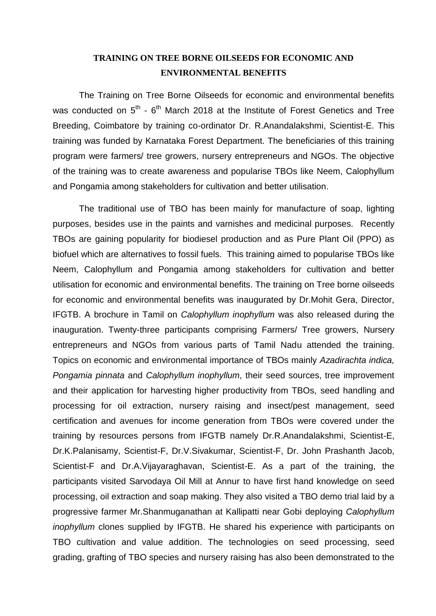## **TRAINING ON TREE BORNE OILSEEDS FOR ECONOMIC AND ENVIRONMENTAL BENEFITS**

The Training on Tree Borne Oilseeds for economic and environmental benefits was conducted on  $5^{th}$  -  $6^{th}$  March 2018 at the Institute of Forest Genetics and Tree Breeding, Coimbatore by training co-ordinator Dr. R.Anandalakshmi, Scientist-E. This training was funded by Karnataka Forest Department. The beneficiaries of this training program were farmers/ tree growers, nursery entrepreneurs and NGOs. The objective of the training was to create awareness and popularise TBOs like Neem, Calophyllum and Pongamia among stakeholders for cultivation and better utilisation.

The traditional use of TBO has been mainly for manufacture of soap, lighting purposes, besides use in the paints and varnishes and medicinal purposes. Recently TBOs are gaining popularity for biodiesel production and as Pure Plant Oil (PPO) as biofuel which are alternatives to fossil fuels. This training aimed to popularise TBOs like Neem, Calophyllum and Pongamia among stakeholders for cultivation and better utilisation for economic and environmental benefits. The training on Tree borne oilseeds for economic and environmental benefits was inaugurated by Dr.Mohit Gera, Director, IFGTB. A brochure in Tamil on *Calophyllum inophyllum* was also released during the inauguration. Twenty-three participants comprising Farmers/ Tree growers, Nursery entrepreneurs and NGOs from various parts of Tamil Nadu attended the training. Topics on economic and environmental importance of TBOs mainly *Azadirachta indica, Pongamia pinnata* and *Calophyllum inophyllum*, their seed sources, tree improvement and their application for harvesting higher productivity from TBOs, seed handling and processing for oil extraction, nursery raising and insect/pest management, seed certification and avenues for income generation from TBOs were covered under the training by resources persons from IFGTB namely Dr.R.Anandalakshmi, Scientist-E, Dr.K.Palanisamy, Scientist-F, Dr.V.Sivakumar, Scientist-F, Dr. John Prashanth Jacob, Scientist-F and Dr.A.Vijayaraghavan, Scientist-E. As a part of the training, the participants visited Sarvodaya Oil Mill at Annur to have first hand knowledge on seed processing, oil extraction and soap making. They also visited a TBO demo trial laid by a progressive farmer Mr.Shanmuganathan at Kallipatti near Gobi deploying *Calophyllum inophyllum* clones supplied by IFGTB. He shared his experience with participants on TBO cultivation and value addition. The technologies on seed processing, seed grading, grafting of TBO species and nursery raising has also been demonstrated to the